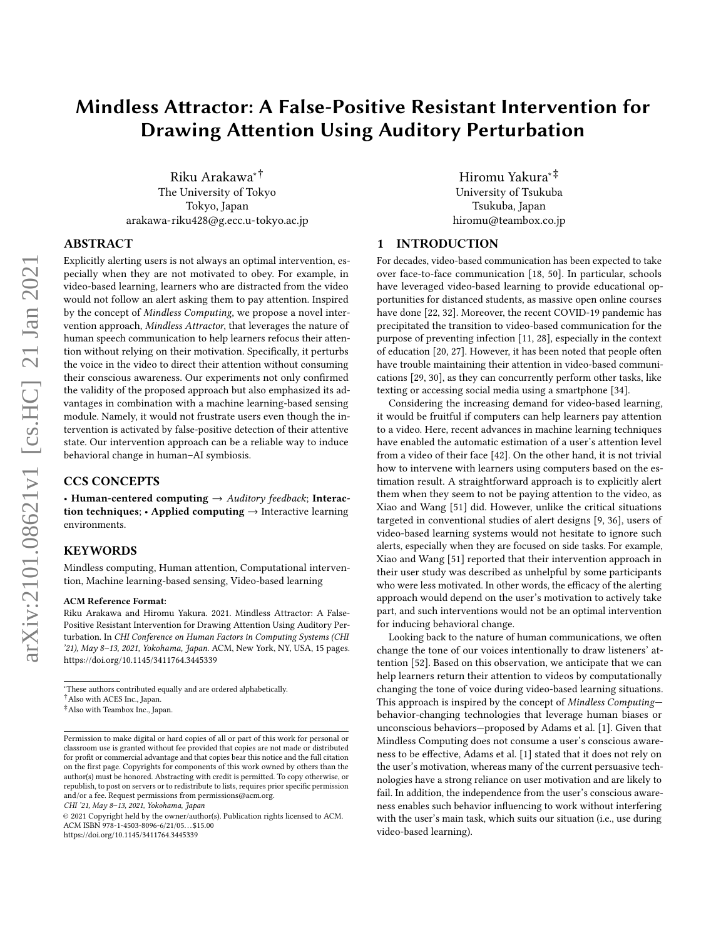# Mindless Attractor: A False-Positive Resistant Intervention for Drawing Attention Using Auditory Perturbation

Riku Arakawa∗† The University of Tokyo Tokyo, Japan arakawa-riku428@g.ecc.u-tokyo.ac.jp

## ABSTRACT

Explicitly alerting users is not always an optimal intervention, especially when they are not motivated to obey. For example, in video-based learning, learners who are distracted from the video would not follow an alert asking them to pay attention. Inspired by the concept of Mindless Computing, we propose a novel intervention approach, Mindless Attractor, that leverages the nature of human speech communication to help learners refocus their attention without relying on their motivation. Specifically, it perturbs the voice in the video to direct their attention without consuming their conscious awareness. Our experiments not only confirmed the validity of the proposed approach but also emphasized its advantages in combination with a machine learning-based sensing module. Namely, it would not frustrate users even though the intervention is activated by false-positive detection of their attentive state. Our intervention approach can be a reliable way to induce behavioral change in human–AI symbiosis.

## CCS CONCEPTS

• Human-centered computing  $\rightarrow$  Auditory feedback; Interaction techniques; • Applied computing  $\rightarrow$  Interactive learning environments.

#### KEYWORDS

Mindless computing, Human attention, Computational intervention, Machine learning-based sensing, Video-based learning

#### ACM Reference Format:

Riku Arakawa and Hiromu Yakura. 2021. Mindless Attractor: A False-Positive Resistant Intervention for Drawing Attention Using Auditory Perturbation. In CHI Conference on Human Factors in Computing Systems (CHI '21), May 8–13, 2021, Yokohama, Japan. ACM, New York, NY, USA, [15](#page-14-0) pages. <https://doi.org/10.1145/3411764.3445339>

<sup>∗</sup>These authors contributed equally and are ordered alphabetically.

CHI '21, May 8–13, 2021, Yokohama, Japan

Hiromu Yakura∗‡ University of Tsukuba Tsukuba, Japan hiromu@teambox.co.jp

## <span id="page-0-0"></span>1 INTRODUCTION

For decades, video-based communication has been expected to take over face-to-face communication [\[18,](#page-13-0) [50\]](#page-13-1). In particular, schools have leveraged video-based learning to provide educational opportunities for distanced students, as massive open online courses have done [\[22,](#page-13-2) [32\]](#page-13-3). Moreover, the recent COVID-19 pandemic has precipitated the transition to video-based communication for the purpose of preventing infection [\[11,](#page-13-4) [28\]](#page-13-5), especially in the context of education [\[20,](#page-13-6) [27\]](#page-13-7). However, it has been noted that people often have trouble maintaining their attention in video-based communications [\[29,](#page-13-8) [30\]](#page-13-9), as they can concurrently perform other tasks, like texting or accessing social media using a smartphone [\[34\]](#page-13-10).

Considering the increasing demand for video-based learning, it would be fruitful if computers can help learners pay attention to a video. Here, recent advances in machine learning techniques have enabled the automatic estimation of a user's attention level from a video of their face [\[42\]](#page-13-11). On the other hand, it is not trivial how to intervene with learners using computers based on the estimation result. A straightforward approach is to explicitly alert them when they seem to not be paying attention to the video, as Xiao and Wang [\[51\]](#page-13-12) did. However, unlike the critical situations targeted in conventional studies of alert designs [\[9,](#page-12-0) [36\]](#page-13-13), users of video-based learning systems would not hesitate to ignore such alerts, especially when they are focused on side tasks. For example, Xiao and Wang [\[51\]](#page-13-12) reported that their intervention approach in their user study was described as unhelpful by some participants who were less motivated. In other words, the efficacy of the alerting approach would depend on the user's motivation to actively take part, and such interventions would not be an optimal intervention for inducing behavioral change.

Looking back to the nature of human communications, we often change the tone of our voices intentionally to draw listeners' attention [\[52\]](#page-13-14). Based on this observation, we anticipate that we can help learners return their attention to videos by computationally changing the tone of voice during video-based learning situations. This approach is inspired by the concept of Mindless Computing behavior-changing technologies that leverage human biases or unconscious behaviors—proposed by Adams et al. [\[1\]](#page-12-1). Given that Mindless Computing does not consume a user's conscious awareness to be effective, Adams et al. [\[1\]](#page-12-1) stated that it does not rely on the user's motivation, whereas many of the current persuasive technologies have a strong reliance on user motivation and are likely to fail. In addition, the independence from the user's conscious awareness enables such behavior influencing to work without interfering with the user's main task, which suits our situation (i.e., use during video-based learning).

<sup>†</sup>Also with ACES Inc., Japan.

<sup>‡</sup>Also with Teambox Inc., Japan.

Permission to make digital or hard copies of all or part of this work for personal or classroom use is granted without fee provided that copies are not made or distributed for profit or commercial advantage and that copies bear this notice and the full citation on the first page. Copyrights for components of this work owned by others than the author(s) must be honored. Abstracting with credit is permitted. To copy otherwise, or republish, to post on servers or to redistribute to lists, requires prior specific permission and/or a fee. Request permissions from permissions@acm.org.

<sup>©</sup> 2021 Copyright held by the owner/author(s). Publication rights licensed to ACM. ACM ISBN 978-1-4503-8096-6/21/05. . . \$15.00 <https://doi.org/10.1145/3411764.3445339>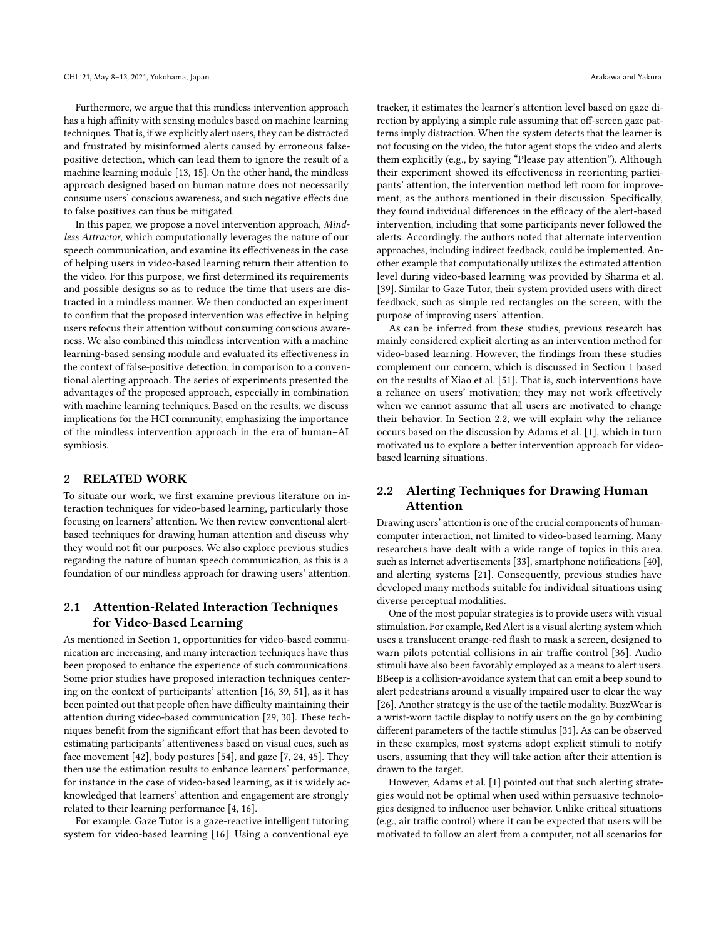Furthermore, we argue that this mindless intervention approach has a high affinity with sensing modules based on machine learning techniques. That is, if we explicitly alert users, they can be distracted and frustrated by misinformed alerts caused by erroneous falsepositive detection, which can lead them to ignore the result of a machine learning module [\[13,](#page-13-15) [15\]](#page-13-16). On the other hand, the mindless approach designed based on human nature does not necessarily consume users' conscious awareness, and such negative effects due to false positives can thus be mitigated.

In this paper, we propose a novel intervention approach, Mindless Attractor, which computationally leverages the nature of our speech communication, and examine its effectiveness in the case of helping users in video-based learning return their attention to the video. For this purpose, we first determined its requirements and possible designs so as to reduce the time that users are distracted in a mindless manner. We then conducted an experiment to confirm that the proposed intervention was effective in helping users refocus their attention without consuming conscious awareness. We also combined this mindless intervention with a machine learning-based sensing module and evaluated its effectiveness in the context of false-positive detection, in comparison to a conventional alerting approach. The series of experiments presented the advantages of the proposed approach, especially in combination with machine learning techniques. Based on the results, we discuss implications for the HCI community, emphasizing the importance of the mindless intervention approach in the era of human–AI symbiosis.

## 2 RELATED WORK

To situate our work, we first examine previous literature on interaction techniques for video-based learning, particularly those focusing on learners' attention. We then review conventional alertbased techniques for drawing human attention and discuss why they would not fit our purposes. We also explore previous studies regarding the nature of human speech communication, as this is a foundation of our mindless approach for drawing users' attention.

# <span id="page-1-1"></span>2.1 Attention-Related Interaction Techniques for Video-Based Learning

As mentioned in Section [1,](#page-0-0) opportunities for video-based communication are increasing, and many interaction techniques have thus been proposed to enhance the experience of such communications. Some prior studies have proposed interaction techniques centering on the context of participants' attention [\[16,](#page-13-17) [39,](#page-13-18) [51\]](#page-13-12), as it has been pointed out that people often have difficulty maintaining their attention during video-based communication [\[29,](#page-13-8) [30\]](#page-13-9). These techniques benefit from the significant effort that has been devoted to estimating participants' attentiveness based on visual cues, such as face movement [\[42\]](#page-13-11), body postures [\[54\]](#page-14-1), and gaze [\[7,](#page-12-2) [24,](#page-13-19) [45\]](#page-13-20). They then use the estimation results to enhance learners' performance, for instance in the case of video-based learning, as it is widely acknowledged that learners' attention and engagement are strongly related to their learning performance [\[4,](#page-12-3) [16\]](#page-13-17).

For example, Gaze Tutor is a gaze-reactive intelligent tutoring system for video-based learning [\[16\]](#page-13-17). Using a conventional eye tracker, it estimates the learner's attention level based on gaze direction by applying a simple rule assuming that off-screen gaze patterns imply distraction. When the system detects that the learner is not focusing on the video, the tutor agent stops the video and alerts them explicitly (e.g., by saying "Please pay attention"). Although their experiment showed its effectiveness in reorienting participants' attention, the intervention method left room for improvement, as the authors mentioned in their discussion. Specifically, they found individual differences in the efficacy of the alert-based intervention, including that some participants never followed the alerts. Accordingly, the authors noted that alternate intervention approaches, including indirect feedback, could be implemented. Another example that computationally utilizes the estimated attention level during video-based learning was provided by Sharma et al. [\[39\]](#page-13-18). Similar to Gaze Tutor, their system provided users with direct feedback, such as simple red rectangles on the screen, with the purpose of improving users' attention.

As can be inferred from these studies, previous research has mainly considered explicit alerting as an intervention method for video-based learning. However, the findings from these studies complement our concern, which is discussed in Section [1](#page-0-0) based on the results of Xiao et al. [\[51\]](#page-13-12). That is, such interventions have a reliance on users' motivation; they may not work effectively when we cannot assume that all users are motivated to change their behavior. In Section [2.2,](#page-1-0) we will explain why the reliance occurs based on the discussion by Adams et al. [\[1\]](#page-12-1), which in turn motivated us to explore a better intervention approach for videobased learning situations.

# <span id="page-1-0"></span>2.2 Alerting Techniques for Drawing Human Attention

Drawing users' attention is one of the crucial components of humancomputer interaction, not limited to video-based learning. Many researchers have dealt with a wide range of topics in this area, such as Internet advertisements [\[33\]](#page-13-21), smartphone notifications [\[40\]](#page-13-22), and alerting systems [\[21\]](#page-13-23). Consequently, previous studies have developed many methods suitable for individual situations using diverse perceptual modalities.

One of the most popular strategies is to provide users with visual stimulation. For example, Red Alert is a visual alerting system which uses a translucent orange-red flash to mask a screen, designed to warn pilots potential collisions in air traffic control [\[36\]](#page-13-13). Audio stimuli have also been favorably employed as a means to alert users. BBeep is a collision-avoidance system that can emit a beep sound to alert pedestrians around a visually impaired user to clear the way [\[26\]](#page-13-24). Another strategy is the use of the tactile modality. BuzzWear is a wrist-worn tactile display to notify users on the go by combining different parameters of the tactile stimulus [\[31\]](#page-13-25). As can be observed in these examples, most systems adopt explicit stimuli to notify users, assuming that they will take action after their attention is drawn to the target.

However, Adams et al. [\[1\]](#page-12-1) pointed out that such alerting strategies would not be optimal when used within persuasive technologies designed to influence user behavior. Unlike critical situations (e.g., air traffic control) where it can be expected that users will be motivated to follow an alert from a computer, not all scenarios for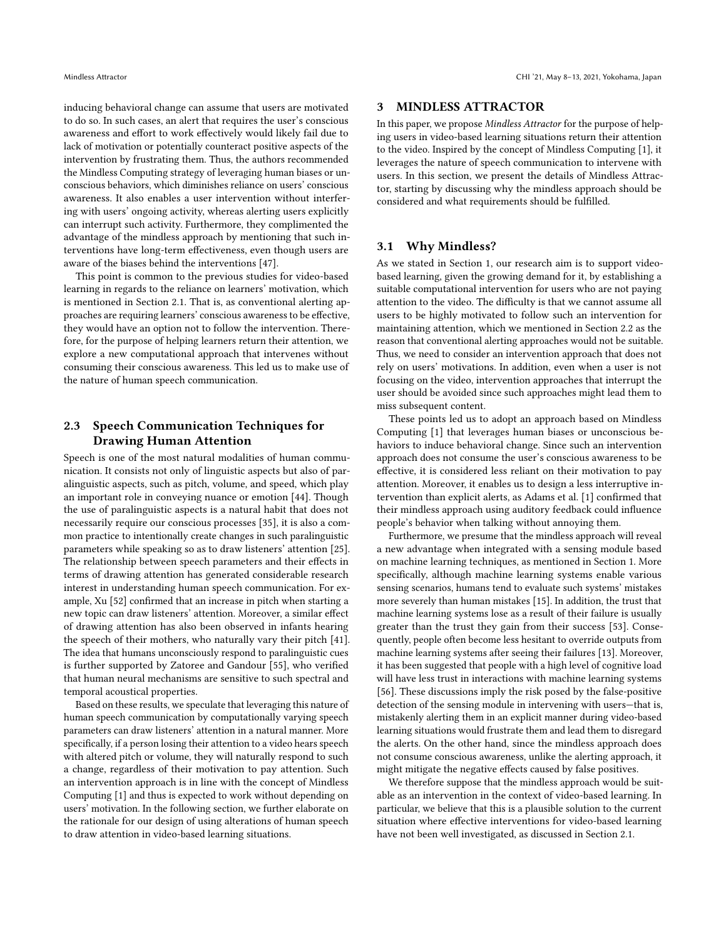inducing behavioral change can assume that users are motivated to do so. In such cases, an alert that requires the user's conscious awareness and effort to work effectively would likely fail due to lack of motivation or potentially counteract positive aspects of the intervention by frustrating them. Thus, the authors recommended the Mindless Computing strategy of leveraging human biases or unconscious behaviors, which diminishes reliance on users' conscious awareness. It also enables a user intervention without interfering with users' ongoing activity, whereas alerting users explicitly can interrupt such activity. Furthermore, they complimented the advantage of the mindless approach by mentioning that such interventions have long-term effectiveness, even though users are aware of the biases behind the interventions [\[47\]](#page-13-26).

This point is common to the previous studies for video-based learning in regards to the reliance on learners' motivation, which is mentioned in Section [2.1.](#page-1-1) That is, as conventional alerting approaches are requiring learners' conscious awareness to be effective, they would have an option not to follow the intervention. Therefore, for the purpose of helping learners return their attention, we explore a new computational approach that intervenes without consuming their conscious awareness. This led us to make use of the nature of human speech communication.

# <span id="page-2-1"></span>2.3 Speech Communication Techniques for Drawing Human Attention

Speech is one of the most natural modalities of human communication. It consists not only of linguistic aspects but also of paralinguistic aspects, such as pitch, volume, and speed, which play an important role in conveying nuance or emotion [\[44\]](#page-13-27). Though the use of paralinguistic aspects is a natural habit that does not necessarily require our conscious processes [\[35\]](#page-13-28), it is also a common practice to intentionally create changes in such paralinguistic parameters while speaking so as to draw listeners' attention [\[25\]](#page-13-29). The relationship between speech parameters and their effects in terms of drawing attention has generated considerable research interest in understanding human speech communication. For example, Xu [\[52\]](#page-13-14) confirmed that an increase in pitch when starting a new topic can draw listeners' attention. Moreover, a similar effect of drawing attention has also been observed in infants hearing the speech of their mothers, who naturally vary their pitch [\[41\]](#page-13-30). The idea that humans unconsciously respond to paralinguistic cues is further supported by Zatoree and Gandour [\[55\]](#page-14-2), who verified that human neural mechanisms are sensitive to such spectral and temporal acoustical properties.

Based on these results, we speculate that leveraging this nature of human speech communication by computationally varying speech parameters can draw listeners' attention in a natural manner. More specifically, if a person losing their attention to a video hears speech with altered pitch or volume, they will naturally respond to such a change, regardless of their motivation to pay attention. Such an intervention approach is in line with the concept of Mindless Computing [\[1\]](#page-12-1) and thus is expected to work without depending on users' motivation. In the following section, we further elaborate on the rationale for our design of using alterations of human speech to draw attention in video-based learning situations.

## 3 MINDLESS ATTRACTOR

In this paper, we propose Mindless Attractor for the purpose of helping users in video-based learning situations return their attention to the video. Inspired by the concept of Mindless Computing [\[1\]](#page-12-1), it leverages the nature of speech communication to intervene with users. In this section, we present the details of Mindless Attractor, starting by discussing why the mindless approach should be considered and what requirements should be fulfilled.

## <span id="page-2-0"></span>3.1 Why Mindless?

As we stated in Section [1,](#page-0-0) our research aim is to support videobased learning, given the growing demand for it, by establishing a suitable computational intervention for users who are not paying attention to the video. The difficulty is that we cannot assume all users to be highly motivated to follow such an intervention for maintaining attention, which we mentioned in Section [2.2](#page-1-0) as the reason that conventional alerting approaches would not be suitable. Thus, we need to consider an intervention approach that does not rely on users' motivations. In addition, even when a user is not focusing on the video, intervention approaches that interrupt the user should be avoided since such approaches might lead them to miss subsequent content.

These points led us to adopt an approach based on Mindless Computing [\[1\]](#page-12-1) that leverages human biases or unconscious behaviors to induce behavioral change. Since such an intervention approach does not consume the user's conscious awareness to be effective, it is considered less reliant on their motivation to pay attention. Moreover, it enables us to design a less interruptive intervention than explicit alerts, as Adams et al. [\[1\]](#page-12-1) confirmed that their mindless approach using auditory feedback could influence people's behavior when talking without annoying them.

Furthermore, we presume that the mindless approach will reveal a new advantage when integrated with a sensing module based on machine learning techniques, as mentioned in Section [1.](#page-0-0) More specifically, although machine learning systems enable various sensing scenarios, humans tend to evaluate such systems' mistakes more severely than human mistakes [\[15\]](#page-13-16). In addition, the trust that machine learning systems lose as a result of their failure is usually greater than the trust they gain from their success [\[53\]](#page-14-3). Consequently, people often become less hesitant to override outputs from machine learning systems after seeing their failures [\[13\]](#page-13-15). Moreover, it has been suggested that people with a high level of cognitive load will have less trust in interactions with machine learning systems [\[56\]](#page-14-4). These discussions imply the risk posed by the false-positive detection of the sensing module in intervening with users—that is, mistakenly alerting them in an explicit manner during video-based learning situations would frustrate them and lead them to disregard the alerts. On the other hand, since the mindless approach does not consume conscious awareness, unlike the alerting approach, it might mitigate the negative effects caused by false positives.

We therefore suppose that the mindless approach would be suitable as an intervention in the context of video-based learning. In particular, we believe that this is a plausible solution to the current situation where effective interventions for video-based learning have not been well investigated, as discussed in Section [2.1.](#page-1-1)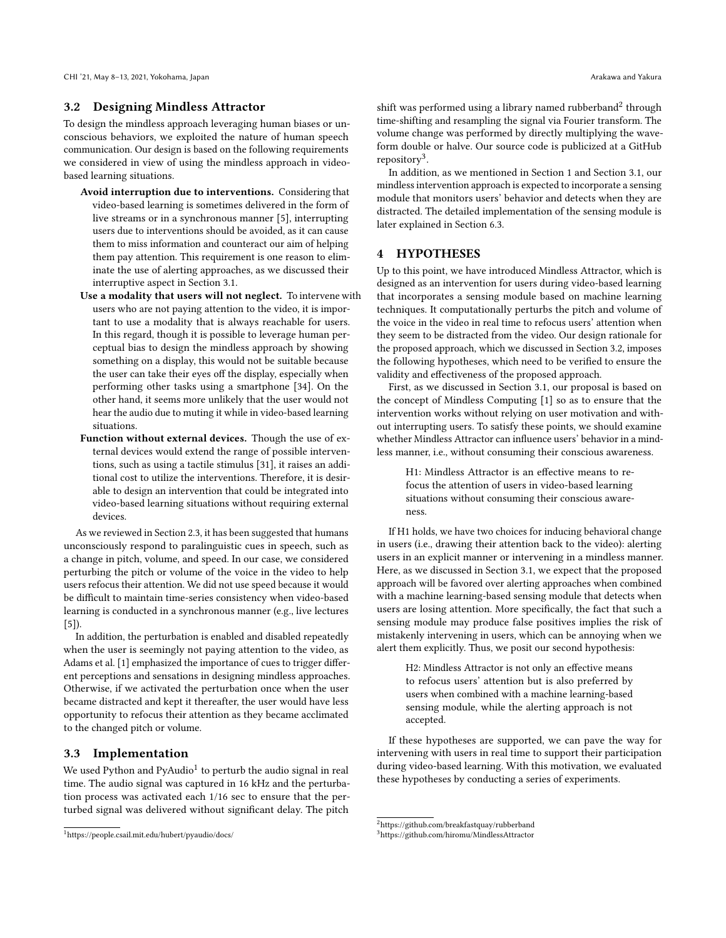#### <span id="page-3-3"></span>3.2 Designing Mindless Attractor

To design the mindless approach leveraging human biases or unconscious behaviors, we exploited the nature of human speech communication. Our design is based on the following requirements we considered in view of using the mindless approach in videobased learning situations.

- Avoid interruption due to interventions. Considering that video-based learning is sometimes delivered in the form of live streams or in a synchronous manner [\[5\]](#page-12-4), interrupting users due to interventions should be avoided, as it can cause them to miss information and counteract our aim of helping them pay attention. This requirement is one reason to eliminate the use of alerting approaches, as we discussed their interruptive aspect in Section [3.1.](#page-2-0)
- Use a modality that users will not neglect. To intervene with users who are not paying attention to the video, it is important to use a modality that is always reachable for users. In this regard, though it is possible to leverage human perceptual bias to design the mindless approach by showing something on a display, this would not be suitable because the user can take their eyes off the display, especially when performing other tasks using a smartphone [\[34\]](#page-13-10). On the other hand, it seems more unlikely that the user would not hear the audio due to muting it while in video-based learning situations.
- Function without external devices. Though the use of external devices would extend the range of possible interventions, such as using a tactile stimulus [\[31\]](#page-13-25), it raises an additional cost to utilize the interventions. Therefore, it is desirable to design an intervention that could be integrated into video-based learning situations without requiring external devices.

As we reviewed in Section [2.3,](#page-2-1) it has been suggested that humans unconsciously respond to paralinguistic cues in speech, such as a change in pitch, volume, and speed. In our case, we considered perturbing the pitch or volume of the voice in the video to help users refocus their attention. We did not use speed because it would be difficult to maintain time-series consistency when video-based learning is conducted in a synchronous manner (e.g., live lectures [\[5\]](#page-12-4)).

In addition, the perturbation is enabled and disabled repeatedly when the user is seemingly not paying attention to the video, as Adams et al. [\[1\]](#page-12-1) emphasized the importance of cues to trigger different perceptions and sensations in designing mindless approaches. Otherwise, if we activated the perturbation once when the user became distracted and kept it thereafter, the user would have less opportunity to refocus their attention as they became acclimated to the changed pitch or volume.

#### <span id="page-3-4"></span>3.3 Implementation

We used Python and PyAudio $^1$  $^1$  to perturb the audio signal in real time. The audio signal was captured in 16 kHz and the perturbation process was activated each 1/16 sec to ensure that the perturbed signal was delivered without significant delay. The pitch

shift was performed using a library named rubberband $^2$  $^2$  through time-shifting and resampling the signal via Fourier transform. The volume change was performed by directly multiplying the waveform double or halve. Our source code is publicized at a GitHub repository<sup>[3](#page-3-2)</sup>.

In addition, as we mentioned in Section [1](#page-0-0) and Section [3.1,](#page-2-0) our mindless intervention approach is expected to incorporate a sensing module that monitors users' behavior and detects when they are distracted. The detailed implementation of the sensing module is later explained in Section [6.3.](#page-7-0)

## <span id="page-3-5"></span>4 HYPOTHESES

Up to this point, we have introduced Mindless Attractor, which is designed as an intervention for users during video-based learning that incorporates a sensing module based on machine learning techniques. It computationally perturbs the pitch and volume of the voice in the video in real time to refocus users' attention when they seem to be distracted from the video. Our design rationale for the proposed approach, which we discussed in Section [3.2,](#page-3-3) imposes the following hypotheses, which need to be verified to ensure the validity and effectiveness of the proposed approach.

First, as we discussed in Section [3.1,](#page-2-0) our proposal is based on the concept of Mindless Computing [\[1\]](#page-12-1) so as to ensure that the intervention works without relying on user motivation and without interrupting users. To satisfy these points, we should examine whether Mindless Attractor can influence users' behavior in a mindless manner, i.e., without consuming their conscious awareness.

> H1: Mindless Attractor is an effective means to refocus the attention of users in video-based learning situations without consuming their conscious awareness.

If H1 holds, we have two choices for inducing behavioral change in users (i.e., drawing their attention back to the video): alerting users in an explicit manner or intervening in a mindless manner. Here, as we discussed in Section [3.1,](#page-2-0) we expect that the proposed approach will be favored over alerting approaches when combined with a machine learning-based sensing module that detects when users are losing attention. More specifically, the fact that such a sensing module may produce false positives implies the risk of mistakenly intervening in users, which can be annoying when we alert them explicitly. Thus, we posit our second hypothesis:

> H2: Mindless Attractor is not only an effective means to refocus users' attention but is also preferred by users when combined with a machine learning-based sensing module, while the alerting approach is not accepted.

If these hypotheses are supported, we can pave the way for intervening with users in real time to support their participation during video-based learning. With this motivation, we evaluated these hypotheses by conducting a series of experiments.

<span id="page-3-0"></span><sup>1</sup><https://people.csail.mit.edu/hubert/pyaudio/docs/>

<span id="page-3-1"></span> $^2$ <https://github.com/breakfastquay/rubberband>

<span id="page-3-2"></span><sup>3</sup><https://github.com/hiromu/MindlessAttractor>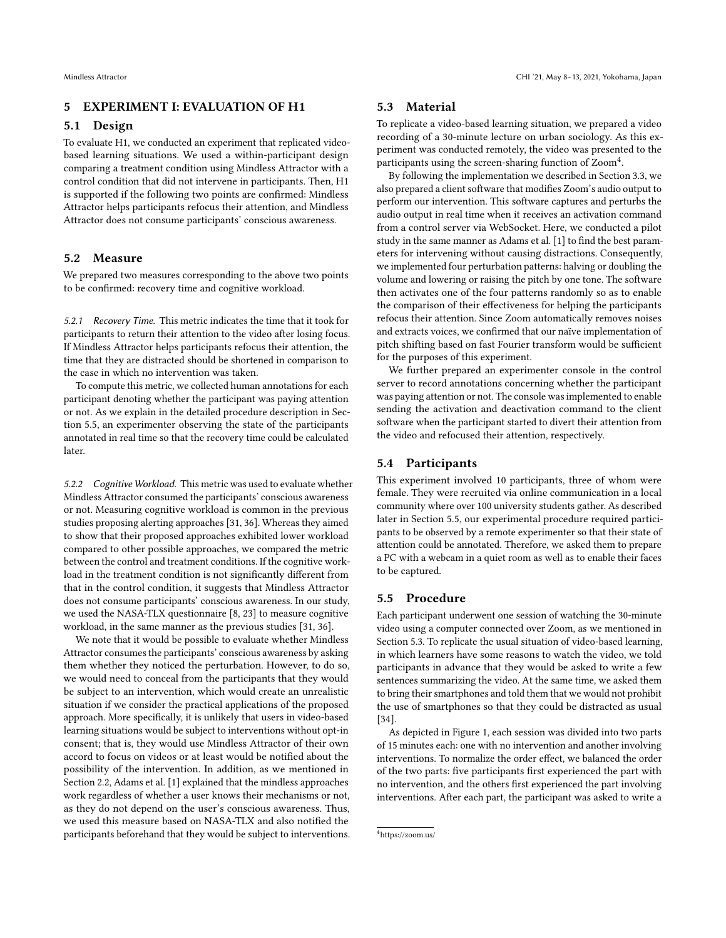## <span id="page-4-3"></span>5 EXPERIMENT I: EVALUATION OF H1

## 5.1 Design

To evaluate H1, we conducted an experiment that replicated videobased learning situations. We used a within-participant design comparing a treatment condition using Mindless Attractor with a control condition that did not intervene in participants. Then, H1 is supported if the following two points are confirmed: Mindless Attractor helps participants refocus their attention, and Mindless Attractor does not consume participants' conscious awareness.

#### 5.2 Measure

We prepared two measures corresponding to the above two points to be confirmed: recovery time and cognitive workload.

5.2.1 Recovery Time. This metric indicates the time that it took for participants to return their attention to the video after losing focus. If Mindless Attractor helps participants refocus their attention, the time that they are distracted should be shortened in comparison to the case in which no intervention was taken.

To compute this metric, we collected human annotations for each participant denoting whether the participant was paying attention or not. As we explain in the detailed procedure description in Section [5.5,](#page-4-0) an experimenter observing the state of the participants annotated in real time so that the recovery time could be calculated later.

5.2.2 Cognitive Workload. This metric was used to evaluate whether Mindless Attractor consumed the participants' conscious awareness or not. Measuring cognitive workload is common in the previous studies proposing alerting approaches [\[31,](#page-13-25) [36\]](#page-13-13). Whereas they aimed to show that their proposed approaches exhibited lower workload compared to other possible approaches, we compared the metric between the control and treatment conditions. If the cognitive workload in the treatment condition is not significantly different from that in the control condition, it suggests that Mindless Attractor does not consume participants' conscious awareness. In our study, we used the NASA-TLX questionnaire [\[8,](#page-12-5) [23\]](#page-13-31) to measure cognitive workload, in the same manner as the previous studies [\[31,](#page-13-25) [36\]](#page-13-13).

We note that it would be possible to evaluate whether Mindless Attractor consumes the participants' conscious awareness by asking them whether they noticed the perturbation. However, to do so, we would need to conceal from the participants that they would be subject to an intervention, which would create an unrealistic situation if we consider the practical applications of the proposed approach. More specifically, it is unlikely that users in video-based learning situations would be subject to interventions without opt-in consent; that is, they would use Mindless Attractor of their own accord to focus on videos or at least would be notified about the possibility of the intervention. In addition, as we mentioned in Section [2.2,](#page-1-0) Adams et al. [\[1\]](#page-12-1) explained that the mindless approaches work regardless of whether a user knows their mechanisms or not, as they do not depend on the user's conscious awareness. Thus, we used this measure based on NASA-TLX and also notified the participants beforehand that they would be subject to interventions.

## <span id="page-4-2"></span>5.3 Material

To replicate a video-based learning situation, we prepared a video recording of a 30-minute lecture on urban sociology. As this experiment was conducted remotely, the video was presented to the participants using the screen-sharing function of  $\text{Zoom}^4$  $\text{Zoom}^4$ .

By following the implementation we described in Section [3.3,](#page-3-4) we also prepared a client software that modifies Zoom's audio output to perform our intervention. This software captures and perturbs the audio output in real time when it receives an activation command from a control server via WebSocket. Here, we conducted a pilot study in the same manner as Adams et al. [\[1\]](#page-12-1) to find the best parameters for intervening without causing distractions. Consequently, we implemented four perturbation patterns: halving or doubling the volume and lowering or raising the pitch by one tone. The software then activates one of the four patterns randomly so as to enable the comparison of their effectiveness for helping the participants refocus their attention. Since Zoom automatically removes noises and extracts voices, we confirmed that our naïve implementation of pitch shifting based on fast Fourier transform would be sufficient for the purposes of this experiment.

We further prepared an experimenter console in the control server to record annotations concerning whether the participant was paying attention or not. The console was implemented to enable sending the activation and deactivation command to the client software when the participant started to divert their attention from the video and refocused their attention, respectively.

## 5.4 Participants

This experiment involved 10 participants, three of whom were female. They were recruited via online communication in a local community where over 100 university students gather. As described later in Section [5.5,](#page-4-0) our experimental procedure required participants to be observed by a remote experimenter so that their state of attention could be annotated. Therefore, we asked them to prepare a PC with a webcam in a quiet room as well as to enable their faces to be captured.

### <span id="page-4-0"></span>5.5 Procedure

Each participant underwent one session of watching the 30-minute video using a computer connected over Zoom, as we mentioned in Section [5.3.](#page-4-2) To replicate the usual situation of video-based learning, in which learners have some reasons to watch the video, we told participants in advance that they would be asked to write a few sentences summarizing the video. At the same time, we asked them to bring their smartphones and told them that we would not prohibit the use of smartphones so that they could be distracted as usual [\[34\]](#page-13-10).

As depicted in Figure [1,](#page-6-0) each session was divided into two parts of 15 minutes each: one with no intervention and another involving interventions. To normalize the order effect, we balanced the order of the two parts: five participants first experienced the part with no intervention, and the others first experienced the part involving interventions. After each part, the participant was asked to write a

<span id="page-4-1"></span><sup>4</sup><https://zoom.us/>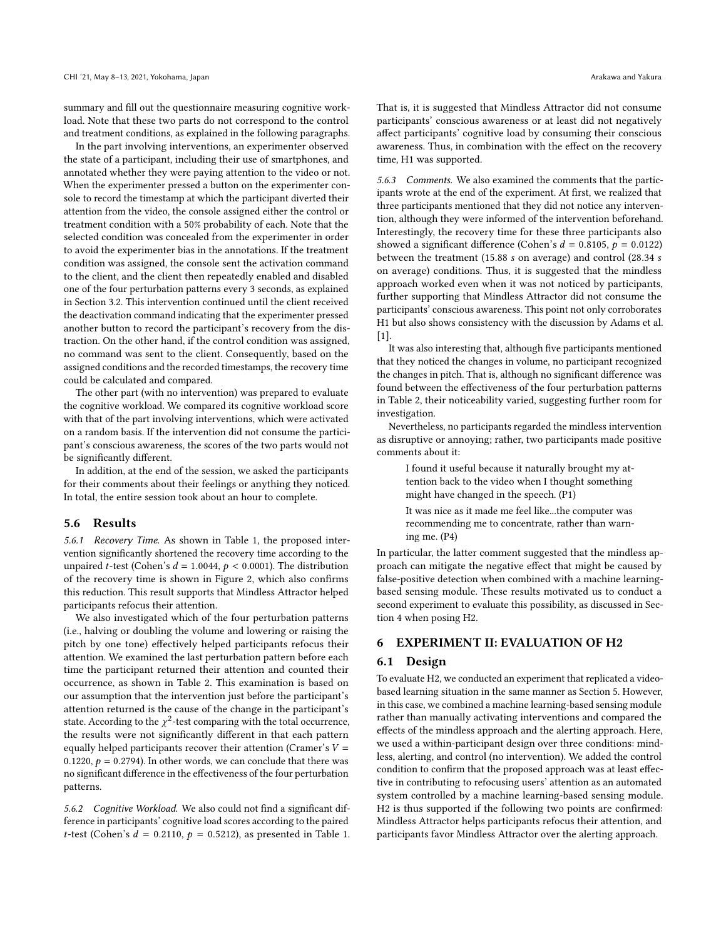summary and fill out the questionnaire measuring cognitive workload. Note that these two parts do not correspond to the control and treatment conditions, as explained in the following paragraphs.

In the part involving interventions, an experimenter observed the state of a participant, including their use of smartphones, and annotated whether they were paying attention to the video or not. When the experimenter pressed a button on the experimenter console to record the timestamp at which the participant diverted their attention from the video, the console assigned either the control or treatment condition with a 50% probability of each. Note that the selected condition was concealed from the experimenter in order to avoid the experimenter bias in the annotations. If the treatment condition was assigned, the console sent the activation command to the client, and the client then repeatedly enabled and disabled one of the four perturbation patterns every 3 seconds, as explained in Section [3.2.](#page-3-3) This intervention continued until the client received the deactivation command indicating that the experimenter pressed another button to record the participant's recovery from the distraction. On the other hand, if the control condition was assigned, no command was sent to the client. Consequently, based on the assigned conditions and the recorded timestamps, the recovery time could be calculated and compared.

The other part (with no intervention) was prepared to evaluate the cognitive workload. We compared its cognitive workload score with that of the part involving interventions, which were activated on a random basis. If the intervention did not consume the participant's conscious awareness, the scores of the two parts would not be significantly different.

In addition, at the end of the session, we asked the participants for their comments about their feelings or anything they noticed. In total, the entire session took about an hour to complete.

#### <span id="page-5-0"></span>5.6 Results

5.6.1 Recovery Time. As shown in Table [1,](#page-6-1) the proposed intervention significantly shortened the recovery time according to the unpaired t-test (Cohen's  $d = 1.0044$ ,  $p < 0.0001$ ). The distribution of the recovery time is shown in Figure [2,](#page-7-1) which also confirms this reduction. This result supports that Mindless Attractor helped participants refocus their attention.

We also investigated which of the four perturbation patterns (i.e., halving or doubling the volume and lowering or raising the pitch by one tone) effectively helped participants refocus their attention. We examined the last perturbation pattern before each time the participant returned their attention and counted their occurrence, as shown in Table [2.](#page-6-2) This examination is based on our assumption that the intervention just before the participant's attention returned is the cause of the change in the participant's state. According to the  $\chi^2$ -test comparing with the total occurrence, the results were not significantly different in that each pattern equally helped participants recover their attention (Cramer's  $V =$ 0.1220,  $p = 0.2794$ ). In other words, we can conclude that there was no significant difference in the effectiveness of the four perturbation patterns.

5.6.2 Cognitive Workload. We also could not find a significant difference in participants' cognitive load scores according to the paired t-test (Cohen's  $d = 0.2110$ ,  $p = 0.5212$ ), as presented in Table [1.](#page-6-1) That is, it is suggested that Mindless Attractor did not consume participants' conscious awareness or at least did not negatively affect participants' cognitive load by consuming their conscious awareness. Thus, in combination with the effect on the recovery time, H1 was supported.

5.6.3 Comments. We also examined the comments that the participants wrote at the end of the experiment. At first, we realized that three participants mentioned that they did not notice any intervention, although they were informed of the intervention beforehand. Interestingly, the recovery time for these three participants also showed a significant difference (Cohen's  $d = 0.8105$ ,  $p = 0.0122$ ) between the treatment (15.88  $s$  on average) and control (28.34  $s$ on average) conditions. Thus, it is suggested that the mindless approach worked even when it was not noticed by participants, further supporting that Mindless Attractor did not consume the participants' conscious awareness. This point not only corroborates H1 but also shows consistency with the discussion by Adams et al. [\[1\]](#page-12-1).

It was also interesting that, although five participants mentioned that they noticed the changes in volume, no participant recognized the changes in pitch. That is, although no significant difference was found between the effectiveness of the four perturbation patterns in Table [2,](#page-6-2) their noticeability varied, suggesting further room for investigation.

Nevertheless, no participants regarded the mindless intervention as disruptive or annoying; rather, two participants made positive comments about it:

I found it useful because it naturally brought my attention back to the video when I thought something might have changed in the speech. (P1)

It was nice as it made me feel like...the computer was recommending me to concentrate, rather than warning me. (P4)

In particular, the latter comment suggested that the mindless approach can mitigate the negative effect that might be caused by false-positive detection when combined with a machine learningbased sensing module. These results motivated us to conduct a second experiment to evaluate this possibility, as discussed in Section [4](#page-3-5) when posing H2.

## 6 EXPERIMENT II: EVALUATION OF H2

#### 6.1 Design

To evaluate H2, we conducted an experiment that replicated a videobased learning situation in the same manner as Section [5.](#page-4-3) However, in this case, we combined a machine learning-based sensing module rather than manually activating interventions and compared the effects of the mindless approach and the alerting approach. Here, we used a within-participant design over three conditions: mindless, alerting, and control (no intervention). We added the control condition to confirm that the proposed approach was at least effective in contributing to refocusing users' attention as an automated system controlled by a machine learning-based sensing module. H2 is thus supported if the following two points are confirmed: Mindless Attractor helps participants refocus their attention, and participants favor Mindless Attractor over the alerting approach.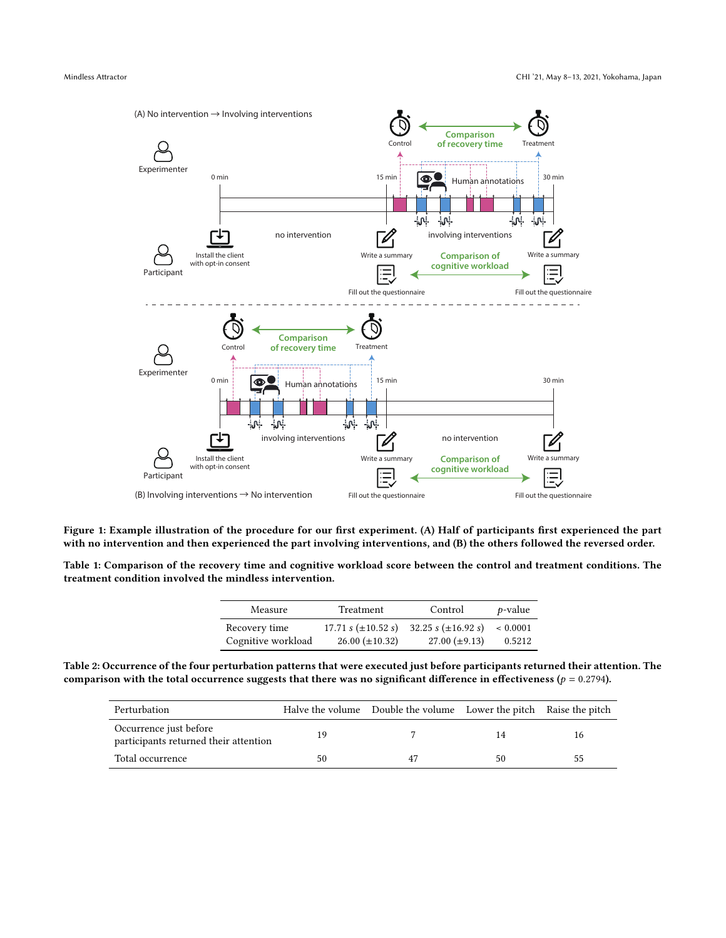<span id="page-6-0"></span>

Figure 1: Example illustration of the procedure for our first experiment. (A) Half of participants first experienced the part with no intervention and then experienced the part involving interventions, and (B) the others followed the reversed order.

<span id="page-6-1"></span>Table 1: Comparison of the recovery time and cognitive workload score between the control and treatment conditions. The treatment condition involved the mindless intervention.

| Measure            | Treatment                       | Control                 | $p$ -value   |
|--------------------|---------------------------------|-------------------------|--------------|
| Recovery time      | 17.71 s $(\pm 10.52 \text{ s})$ | 32.25 s $(\pm 16.92 s)$ | ${}< 0.0001$ |
| Cognitive workload | $26.00 (\pm 10.32)$             | $27.00 \ (\pm 9.13)$    | 0.5212       |

<span id="page-6-2"></span>Table 2: Occurrence of the four perturbation patterns that were executed just before participants returned their attention. The comparison with the total occurrence suggests that there was no significant difference in effectiveness ( $p = 0.2794$ ).

| Perturbation                                                    |    | Halve the volume Double the volume Lower the pitch Raise the pitch |    |    |
|-----------------------------------------------------------------|----|--------------------------------------------------------------------|----|----|
| Occurrence just before<br>participants returned their attention | 19 |                                                                    | 14 |    |
| Total occurrence                                                | 50 |                                                                    | 50 | 55 |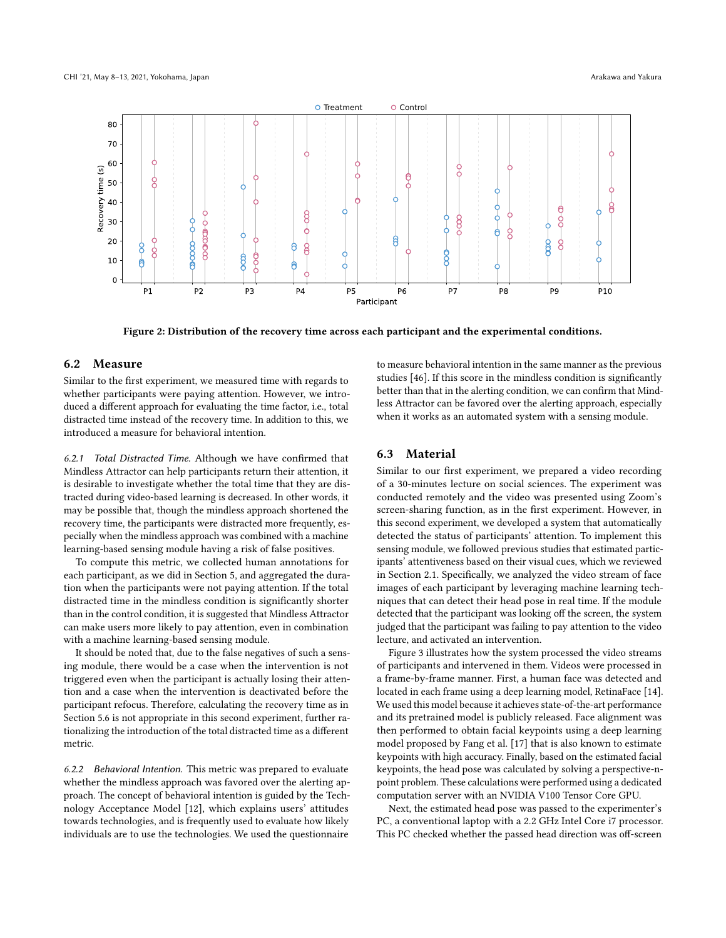<span id="page-7-1"></span>

Figure 2: Distribution of the recovery time across each participant and the experimental conditions.

## 6.2 Measure

Similar to the first experiment, we measured time with regards to whether participants were paying attention. However, we introduced a different approach for evaluating the time factor, i.e., total distracted time instead of the recovery time. In addition to this, we introduced a measure for behavioral intention.

6.2.1 Total Distracted Time. Although we have confirmed that Mindless Attractor can help participants return their attention, it is desirable to investigate whether the total time that they are distracted during video-based learning is decreased. In other words, it may be possible that, though the mindless approach shortened the recovery time, the participants were distracted more frequently, especially when the mindless approach was combined with a machine learning-based sensing module having a risk of false positives.

To compute this metric, we collected human annotations for each participant, as we did in Section [5,](#page-4-3) and aggregated the duration when the participants were not paying attention. If the total distracted time in the mindless condition is significantly shorter than in the control condition, it is suggested that Mindless Attractor can make users more likely to pay attention, even in combination with a machine learning-based sensing module.

It should be noted that, due to the false negatives of such a sensing module, there would be a case when the intervention is not triggered even when the participant is actually losing their attention and a case when the intervention is deactivated before the participant refocus. Therefore, calculating the recovery time as in Section [5.6](#page-5-0) is not appropriate in this second experiment, further rationalizing the introduction of the total distracted time as a different metric.

6.2.2 Behavioral Intention. This metric was prepared to evaluate whether the mindless approach was favored over the alerting approach. The concept of behavioral intention is guided by the Technology Acceptance Model [\[12\]](#page-13-32), which explains users' attitudes towards technologies, and is frequently used to evaluate how likely individuals are to use the technologies. We used the questionnaire

to measure behavioral intention in the same manner as the previous studies [\[46\]](#page-13-33). If this score in the mindless condition is significantly better than that in the alerting condition, we can confirm that Mindless Attractor can be favored over the alerting approach, especially when it works as an automated system with a sensing module.

#### <span id="page-7-0"></span>6.3 Material

Similar to our first experiment, we prepared a video recording of a 30-minutes lecture on social sciences. The experiment was conducted remotely and the video was presented using Zoom's screen-sharing function, as in the first experiment. However, in this second experiment, we developed a system that automatically detected the status of participants' attention. To implement this sensing module, we followed previous studies that estimated participants' attentiveness based on their visual cues, which we reviewed in Section [2.1.](#page-1-1) Specifically, we analyzed the video stream of face images of each participant by leveraging machine learning techniques that can detect their head pose in real time. If the module detected that the participant was looking off the screen, the system judged that the participant was failing to pay attention to the video lecture, and activated an intervention.

Figure [3](#page-8-0) illustrates how the system processed the video streams of participants and intervened in them. Videos were processed in a frame-by-frame manner. First, a human face was detected and located in each frame using a deep learning model, RetinaFace [\[14\]](#page-13-34). We used this model because it achieves state-of-the-art performance and its pretrained model is publicly released. Face alignment was then performed to obtain facial keypoints using a deep learning model proposed by Fang et al. [\[17\]](#page-13-35) that is also known to estimate keypoints with high accuracy. Finally, based on the estimated facial keypoints, the head pose was calculated by solving a perspective-npoint problem. These calculations were performed using a dedicated computation server with an NVIDIA V100 Tensor Core GPU.

Next, the estimated head pose was passed to the experimenter's PC, a conventional laptop with a 2.2 GHz Intel Core i7 processor. This PC checked whether the passed head direction was off-screen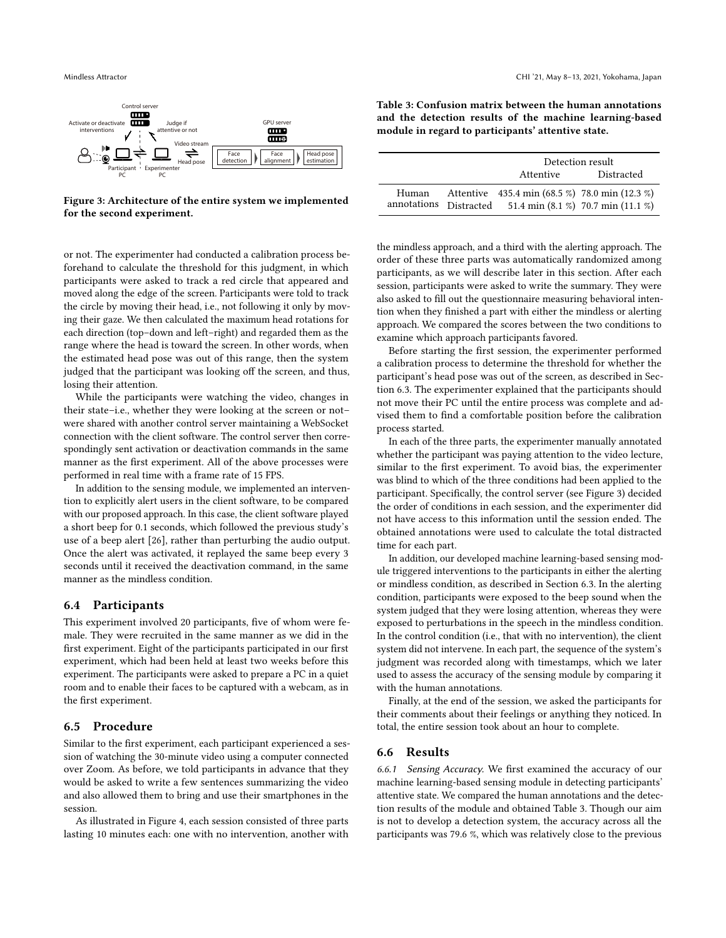<span id="page-8-0"></span>

Figure 3: Architecture of the entire system we implemented for the second experiment.

Mindless Attractor CHI '21, May 8–13, 2021, Yokohama, Japan

<span id="page-8-1"></span>Table 3: Confusion matrix between the human annotations and the detection results of the machine learning-based module in regard to participants' attentive state.

|                      | Detection result                                    |            |  |
|----------------------|-----------------------------------------------------|------------|--|
|                      | Attentive                                           | Distracted |  |
| Human<br>annotations | Attentive 435.4 min (68.5 %) 78.0 min (12.3 %)      |            |  |
|                      | Distracted 51.4 min $(8.1 \%)$ 70.7 min $(11.1 \%)$ |            |  |

or not. The experimenter had conducted a calibration process beforehand to calculate the threshold for this judgment, in which participants were asked to track a red circle that appeared and moved along the edge of the screen. Participants were told to track the circle by moving their head, i.e., not following it only by moving their gaze. We then calculated the maximum head rotations for each direction (top–down and left–right) and regarded them as the range where the head is toward the screen. In other words, when the estimated head pose was out of this range, then the system judged that the participant was looking off the screen, and thus, losing their attention.

While the participants were watching the video, changes in their state–i.e., whether they were looking at the screen or not– were shared with another control server maintaining a WebSocket connection with the client software. The control server then correspondingly sent activation or deactivation commands in the same manner as the first experiment. All of the above processes were performed in real time with a frame rate of 15 FPS.

In addition to the sensing module, we implemented an intervention to explicitly alert users in the client software, to be compared with our proposed approach. In this case, the client software played a short beep for 0.1 seconds, which followed the previous study's use of a beep alert [\[26\]](#page-13-24), rather than perturbing the audio output. Once the alert was activated, it replayed the same beep every 3 seconds until it received the deactivation command, in the same manner as the mindless condition.

#### 6.4 Participants

This experiment involved 20 participants, five of whom were female. They were recruited in the same manner as we did in the first experiment. Eight of the participants participated in our first experiment, which had been held at least two weeks before this experiment. The participants were asked to prepare a PC in a quiet room and to enable their faces to be captured with a webcam, as in the first experiment.

#### 6.5 Procedure

Similar to the first experiment, each participant experienced a session of watching the 30-minute video using a computer connected over Zoom. As before, we told participants in advance that they would be asked to write a few sentences summarizing the video and also allowed them to bring and use their smartphones in the session.

As illustrated in Figure [4,](#page-9-0) each session consisted of three parts lasting 10 minutes each: one with no intervention, another with the mindless approach, and a third with the alerting approach. The order of these three parts was automatically randomized among participants, as we will describe later in this section. After each session, participants were asked to write the summary. They were also asked to fill out the questionnaire measuring behavioral intention when they finished a part with either the mindless or alerting approach. We compared the scores between the two conditions to examine which approach participants favored.

Before starting the first session, the experimenter performed a calibration process to determine the threshold for whether the participant's head pose was out of the screen, as described in Section [6.3.](#page-7-0) The experimenter explained that the participants should not move their PC until the entire process was complete and advised them to find a comfortable position before the calibration process started.

In each of the three parts, the experimenter manually annotated whether the participant was paying attention to the video lecture, similar to the first experiment. To avoid bias, the experimenter was blind to which of the three conditions had been applied to the participant. Specifically, the control server (see Figure [3\)](#page-8-0) decided the order of conditions in each session, and the experimenter did not have access to this information until the session ended. The obtained annotations were used to calculate the total distracted time for each part.

In addition, our developed machine learning-based sensing module triggered interventions to the participants in either the alerting or mindless condition, as described in Section [6.3.](#page-7-0) In the alerting condition, participants were exposed to the beep sound when the system judged that they were losing attention, whereas they were exposed to perturbations in the speech in the mindless condition. In the control condition (i.e., that with no intervention), the client system did not intervene. In each part, the sequence of the system's judgment was recorded along with timestamps, which we later used to assess the accuracy of the sensing module by comparing it with the human annotations.

Finally, at the end of the session, we asked the participants for their comments about their feelings or anything they noticed. In total, the entire session took about an hour to complete.

#### <span id="page-8-2"></span>6.6 Results

6.6.1 Sensing Accuracy. We first examined the accuracy of our machine learning-based sensing module in detecting participants' attentive state. We compared the human annotations and the detection results of the module and obtained Table [3.](#page-8-1) Though our aim is not to develop a detection system, the accuracy across all the participants was 79.6 %, which was relatively close to the previous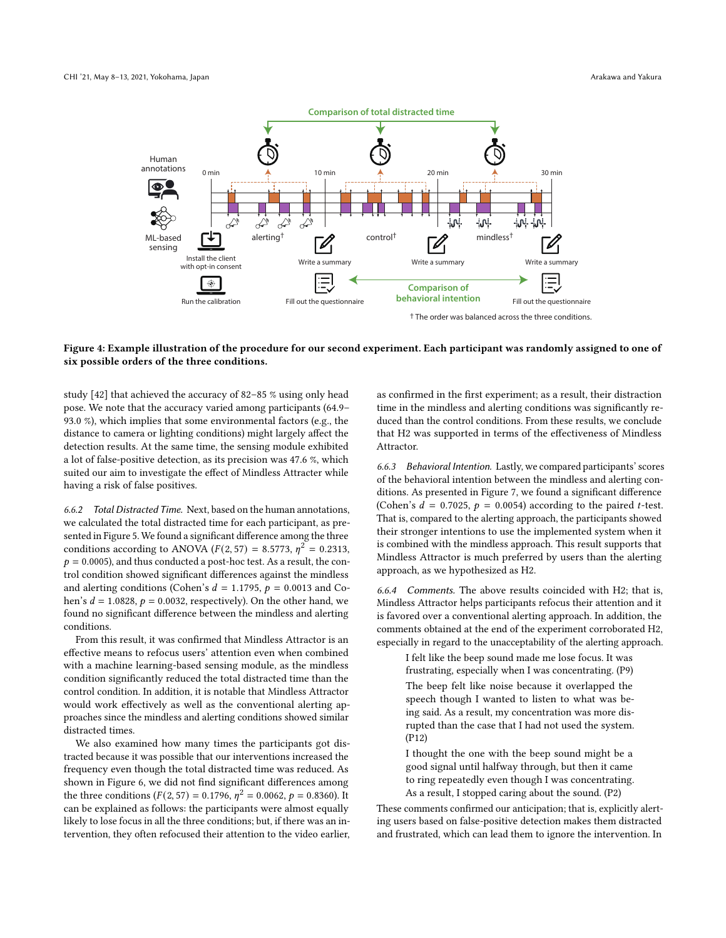<span id="page-9-0"></span>

#### Figure 4: Example illustration of the procedure for our second experiment. Each participant was randomly assigned to one of six possible orders of the three conditions.

study [\[42\]](#page-13-11) that achieved the accuracy of 82–85 % using only head pose. We note that the accuracy varied among participants (64.9– 93.0 %), which implies that some environmental factors (e.g., the distance to camera or lighting conditions) might largely affect the detection results. At the same time, the sensing module exhibited a lot of false-positive detection, as its precision was 47.6 %, which suited our aim to investigate the effect of Mindless Attracter while having a risk of false positives.

6.6.2 Total Distracted Time. Next, based on the human annotations, we calculated the total distracted time for each participant, as presented in Figure [5.](#page-10-0) We found a significant difference among the three conditions according to ANOVA ( $F(2, 57) = 8.5773$ ,  $\eta^2 = 0.2313$ ,  $p = 0.0005$ ), and thus conducted a post-hoc test. As a result, the control condition showed significant differences against the mindless and alerting conditions (Cohen's  $d = 1.1795$ ,  $p = 0.0013$  and Cohen's  $d = 1.0828$ ,  $p = 0.0032$ , respectively). On the other hand, we found no significant difference between the mindless and alerting conditions.

From this result, it was confirmed that Mindless Attractor is an effective means to refocus users' attention even when combined with a machine learning-based sensing module, as the mindless condition significantly reduced the total distracted time than the control condition. In addition, it is notable that Mindless Attractor would work effectively as well as the conventional alerting approaches since the mindless and alerting conditions showed similar distracted times.

We also examined how many times the participants got distracted because it was possible that our interventions increased the frequency even though the total distracted time was reduced. As shown in Figure [6,](#page-10-0) we did not find significant differences among the three conditions ( $F(2, 57) = 0.1796$ ,  $\eta^2 = 0.0062$ ,  $p = 0.8360$ ). It can be explained as follows: the participants were almost equally likely to lose focus in all the three conditions; but, if there was an intervention, they often refocused their attention to the video earlier,

as confirmed in the first experiment; as a result, their distraction time in the mindless and alerting conditions was significantly reduced than the control conditions. From these results, we conclude that H2 was supported in terms of the effectiveness of Mindless Attractor.

6.6.3 Behavioral Intention. Lastly, we compared participants' scores of the behavioral intention between the mindless and alerting conditions. As presented in Figure [7,](#page-10-0) we found a significant difference (Cohen's  $d = 0.7025$ ,  $p = 0.0054$ ) according to the paired *t*-test. That is, compared to the alerting approach, the participants showed their stronger intentions to use the implemented system when it is combined with the mindless approach. This result supports that Mindless Attractor is much preferred by users than the alerting approach, as we hypothesized as H2.

6.6.4 Comments. The above results coincided with H2; that is, Mindless Attractor helps participants refocus their attention and it is favored over a conventional alerting approach. In addition, the comments obtained at the end of the experiment corroborated H2, especially in regard to the unacceptability of the alerting approach.

I felt like the beep sound made me lose focus. It was frustrating, especially when I was concentrating. (P9) The beep felt like noise because it overlapped the speech though I wanted to listen to what was being said. As a result, my concentration was more disrupted than the case that I had not used the system. (P12)

I thought the one with the beep sound might be a good signal until halfway through, but then it came to ring repeatedly even though I was concentrating. As a result, I stopped caring about the sound. (P2)

These comments confirmed our anticipation; that is, explicitly alerting users based on false-positive detection makes them distracted and frustrated, which can lead them to ignore the intervention. In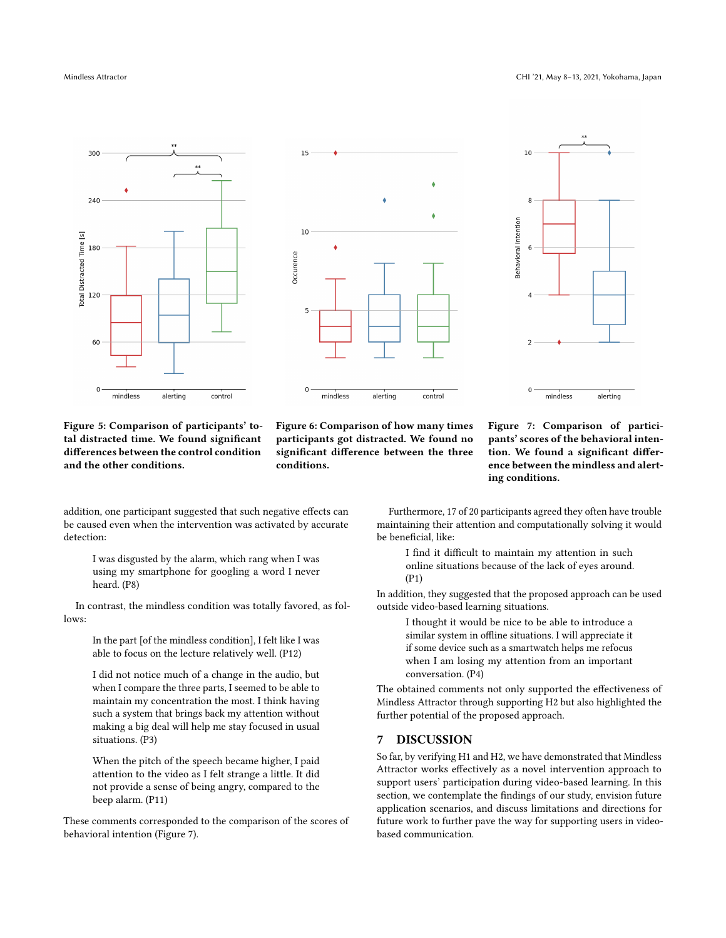<span id="page-10-0"></span>

Figure 5: Comparison of participants' total distracted time. We found significant differences between the control condition and the other conditions.

Figure 6: Comparison of how many times participants got distracted. We found no significant difference between the three conditions.

Figure 7: Comparison of participants' scores of the behavioral intention. We found a significant difference between the mindless and alerting conditions.

addition, one participant suggested that such negative effects can be caused even when the intervention was activated by accurate detection:

I was disgusted by the alarm, which rang when I was using my smartphone for googling a word I never heard. (P8)

In contrast, the mindless condition was totally favored, as follows:

In the part [of the mindless condition], I felt like I was able to focus on the lecture relatively well. (P12)

I did not notice much of a change in the audio, but when I compare the three parts, I seemed to be able to maintain my concentration the most. I think having such a system that brings back my attention without making a big deal will help me stay focused in usual situations. (P3)

When the pitch of the speech became higher, I paid attention to the video as I felt strange a little. It did not provide a sense of being angry, compared to the beep alarm. (P11)

These comments corresponded to the comparison of the scores of behavioral intention (Figure [7\)](#page-10-0).

Furthermore, 17 of 20 participants agreed they often have trouble maintaining their attention and computationally solving it would be beneficial, like:

I find it difficult to maintain my attention in such online situations because of the lack of eyes around. (P1)

In addition, they suggested that the proposed approach can be used outside video-based learning situations.

I thought it would be nice to be able to introduce a similar system in offline situations. I will appreciate it if some device such as a smartwatch helps me refocus when I am losing my attention from an important conversation. (P4)

The obtained comments not only supported the effectiveness of Mindless Attractor through supporting H2 but also highlighted the further potential of the proposed approach.

#### 7 DISCUSSION

So far, by verifying H1 and H2, we have demonstrated that Mindless Attractor works effectively as a novel intervention approach to support users' participation during video-based learning. In this section, we contemplate the findings of our study, envision future application scenarios, and discuss limitations and directions for future work to further pave the way for supporting users in videobased communication.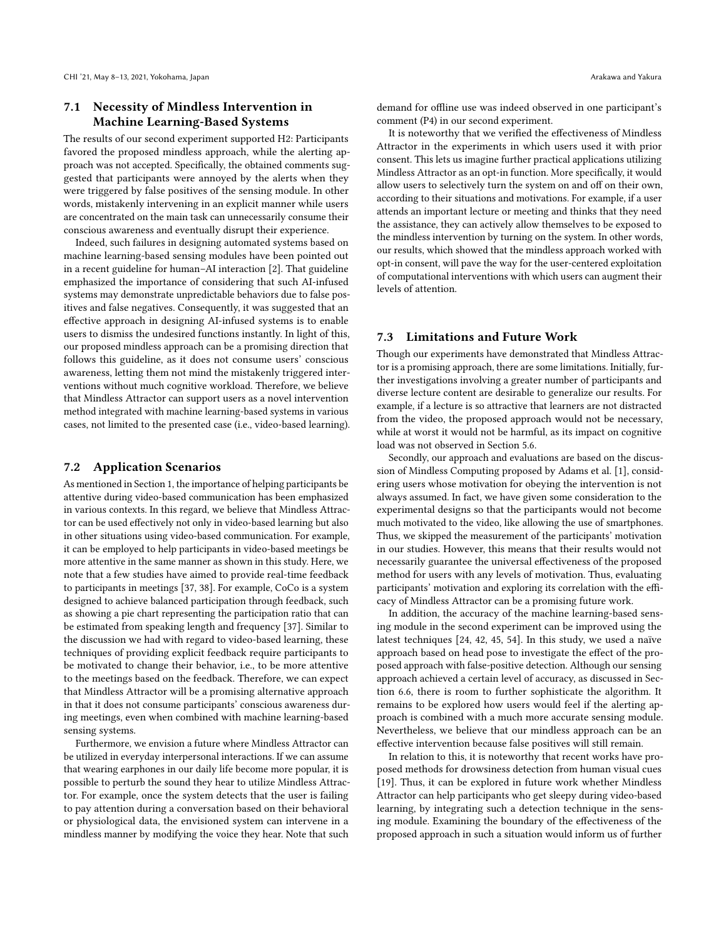# 7.1 Necessity of Mindless Intervention in Machine Learning-Based Systems

The results of our second experiment supported H2: Participants favored the proposed mindless approach, while the alerting approach was not accepted. Specifically, the obtained comments suggested that participants were annoyed by the alerts when they were triggered by false positives of the sensing module. In other words, mistakenly intervening in an explicit manner while users are concentrated on the main task can unnecessarily consume their conscious awareness and eventually disrupt their experience.

Indeed, such failures in designing automated systems based on machine learning-based sensing modules have been pointed out in a recent guideline for human–AI interaction [\[2\]](#page-12-6). That guideline emphasized the importance of considering that such AI-infused systems may demonstrate unpredictable behaviors due to false positives and false negatives. Consequently, it was suggested that an effective approach in designing AI-infused systems is to enable users to dismiss the undesired functions instantly. In light of this, our proposed mindless approach can be a promising direction that follows this guideline, as it does not consume users' conscious awareness, letting them not mind the mistakenly triggered interventions without much cognitive workload. Therefore, we believe that Mindless Attractor can support users as a novel intervention method integrated with machine learning-based systems in various cases, not limited to the presented case (i.e., video-based learning).

#### 7.2 Application Scenarios

As mentioned in Section [1,](#page-0-0) the importance of helping participants be attentive during video-based communication has been emphasized in various contexts. In this regard, we believe that Mindless Attractor can be used effectively not only in video-based learning but also in other situations using video-based communication. For example, it can be employed to help participants in video-based meetings be more attentive in the same manner as shown in this study. Here, we note that a few studies have aimed to provide real-time feedback to participants in meetings [\[37,](#page-13-36) [38\]](#page-13-37). For example, CoCo is a system designed to achieve balanced participation through feedback, such as showing a pie chart representing the participation ratio that can be estimated from speaking length and frequency [\[37\]](#page-13-36). Similar to the discussion we had with regard to video-based learning, these techniques of providing explicit feedback require participants to be motivated to change their behavior, i.e., to be more attentive to the meetings based on the feedback. Therefore, we can expect that Mindless Attractor will be a promising alternative approach in that it does not consume participants' conscious awareness during meetings, even when combined with machine learning-based sensing systems.

Furthermore, we envision a future where Mindless Attractor can be utilized in everyday interpersonal interactions. If we can assume that wearing earphones in our daily life become more popular, it is possible to perturb the sound they hear to utilize Mindless Attractor. For example, once the system detects that the user is failing to pay attention during a conversation based on their behavioral or physiological data, the envisioned system can intervene in a mindless manner by modifying the voice they hear. Note that such

demand for offline use was indeed observed in one participant's comment (P4) in our second experiment.

It is noteworthy that we verified the effectiveness of Mindless Attractor in the experiments in which users used it with prior consent. This lets us imagine further practical applications utilizing Mindless Attractor as an opt-in function. More specifically, it would allow users to selectively turn the system on and off on their own, according to their situations and motivations. For example, if a user attends an important lecture or meeting and thinks that they need the assistance, they can actively allow themselves to be exposed to the mindless intervention by turning on the system. In other words, our results, which showed that the mindless approach worked with opt-in consent, will pave the way for the user-centered exploitation of computational interventions with which users can augment their levels of attention.

#### 7.3 Limitations and Future Work

Though our experiments have demonstrated that Mindless Attractor is a promising approach, there are some limitations. Initially, further investigations involving a greater number of participants and diverse lecture content are desirable to generalize our results. For example, if a lecture is so attractive that learners are not distracted from the video, the proposed approach would not be necessary, while at worst it would not be harmful, as its impact on cognitive load was not observed in Section [5.6.](#page-5-0)

Secondly, our approach and evaluations are based on the discussion of Mindless Computing proposed by Adams et al. [\[1\]](#page-12-1), considering users whose motivation for obeying the intervention is not always assumed. In fact, we have given some consideration to the experimental designs so that the participants would not become much motivated to the video, like allowing the use of smartphones. Thus, we skipped the measurement of the participants' motivation in our studies. However, this means that their results would not necessarily guarantee the universal effectiveness of the proposed method for users with any levels of motivation. Thus, evaluating participants' motivation and exploring its correlation with the efficacy of Mindless Attractor can be a promising future work.

In addition, the accuracy of the machine learning-based sensing module in the second experiment can be improved using the latest techniques [\[24,](#page-13-19) [42,](#page-13-11) [45,](#page-13-20) [54\]](#page-14-1). In this study, we used a naïve approach based on head pose to investigate the effect of the proposed approach with false-positive detection. Although our sensing approach achieved a certain level of accuracy, as discussed in Section [6.6,](#page-8-2) there is room to further sophisticate the algorithm. It remains to be explored how users would feel if the alerting approach is combined with a much more accurate sensing module. Nevertheless, we believe that our mindless approach can be an effective intervention because false positives will still remain.

In relation to this, it is noteworthy that recent works have proposed methods for drowsiness detection from human visual cues [\[19\]](#page-13-38). Thus, it can be explored in future work whether Mindless Attractor can help participants who get sleepy during video-based learning, by integrating such a detection technique in the sensing module. Examining the boundary of the effectiveness of the proposed approach in such a situation would inform us of further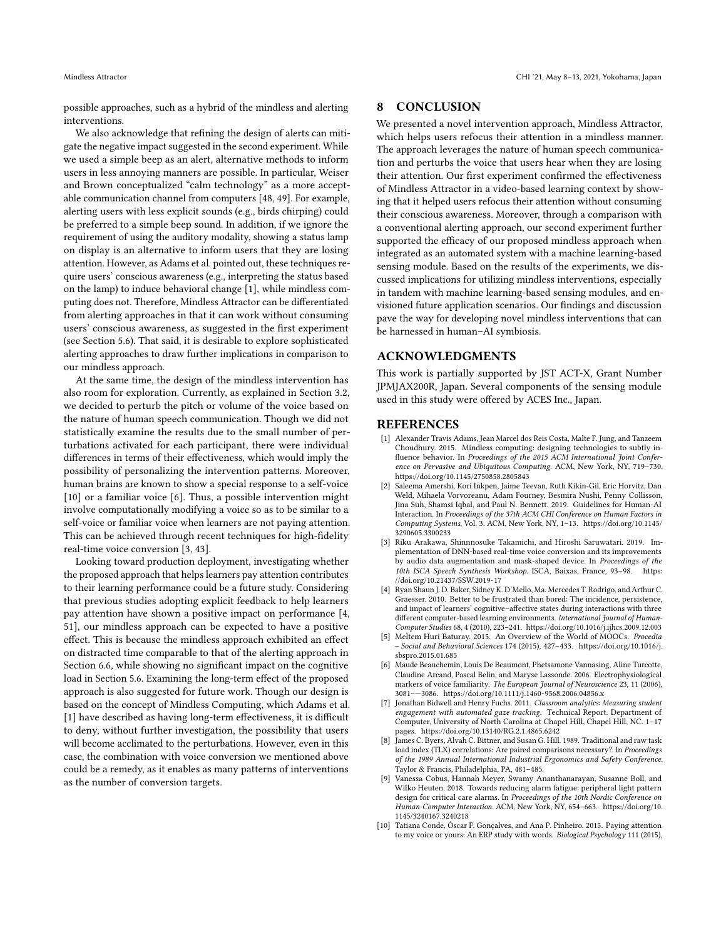possible approaches, such as a hybrid of the mindless and alerting interventions.

We also acknowledge that refining the design of alerts can mitigate the negative impact suggested in the second experiment. While we used a simple beep as an alert, alternative methods to inform users in less annoying manners are possible. In particular, Weiser and Brown conceptualized "calm technology" as a more acceptable communication channel from computers [\[48,](#page-13-39) [49\]](#page-13-40). For example, alerting users with less explicit sounds (e.g., birds chirping) could be preferred to a simple beep sound. In addition, if we ignore the requirement of using the auditory modality, showing a status lamp on display is an alternative to inform users that they are losing attention. However, as Adams et al. pointed out, these techniques require users' conscious awareness (e.g., interpreting the status based on the lamp) to induce behavioral change [\[1\]](#page-12-1), while mindless computing does not. Therefore, Mindless Attractor can be differentiated from alerting approaches in that it can work without consuming users' conscious awareness, as suggested in the first experiment (see Section [5.6\)](#page-5-0). That said, it is desirable to explore sophisticated alerting approaches to draw further implications in comparison to our mindless approach.

At the same time, the design of the mindless intervention has also room for exploration. Currently, as explained in Section [3.2,](#page-3-3) we decided to perturb the pitch or volume of the voice based on the nature of human speech communication. Though we did not statistically examine the results due to the small number of perturbations activated for each participant, there were individual differences in terms of their effectiveness, which would imply the possibility of personalizing the intervention patterns. Moreover, human brains are known to show a special response to a self-voice [\[10\]](#page-12-7) or a familiar voice [\[6\]](#page-12-8). Thus, a possible intervention might involve computationally modifying a voice so as to be similar to a self-voice or familiar voice when learners are not paying attention. This can be achieved through recent techniques for high-fidelity real-time voice conversion [\[3,](#page-12-9) [43\]](#page-13-41).

Looking toward production deployment, investigating whether the proposed approach that helps learners pay attention contributes to their learning performance could be a future study. Considering that previous studies adopting explicit feedback to help learners pay attention have shown a positive impact on performance [\[4,](#page-12-3) [51\]](#page-13-12), our mindless approach can be expected to have a positive effect. This is because the mindless approach exhibited an effect on distracted time comparable to that of the alerting approach in Section [6.6,](#page-8-2) while showing no significant impact on the cognitive load in Section [5.6.](#page-5-0) Examining the long-term effect of the proposed approach is also suggested for future work. Though our design is based on the concept of Mindless Computing, which Adams et al. [\[1\]](#page-12-1) have described as having long-term effectiveness, it is difficult to deny, without further investigation, the possibility that users will become acclimated to the perturbations. However, even in this case, the combination with voice conversion we mentioned above could be a remedy, as it enables as many patterns of interventions as the number of conversion targets.

#### 8 CONCLUSION

We presented a novel intervention approach, Mindless Attractor, which helps users refocus their attention in a mindless manner. The approach leverages the nature of human speech communication and perturbs the voice that users hear when they are losing their attention. Our first experiment confirmed the effectiveness of Mindless Attractor in a video-based learning context by showing that it helped users refocus their attention without consuming their conscious awareness. Moreover, through a comparison with a conventional alerting approach, our second experiment further supported the efficacy of our proposed mindless approach when integrated as an automated system with a machine learning-based sensing module. Based on the results of the experiments, we discussed implications for utilizing mindless interventions, especially in tandem with machine learning-based sensing modules, and envisioned future application scenarios. Our findings and discussion pave the way for developing novel mindless interventions that can be harnessed in human–AI symbiosis.

#### ACKNOWLEDGMENTS

This work is partially supported by JST ACT-X, Grant Number JPMJAX200R, Japan. Several components of the sensing module used in this study were offered by ACES Inc., Japan.

#### REFERENCES

- <span id="page-12-1"></span>[1] Alexander Travis Adams, Jean Marcel dos Reis Costa, Malte F. Jung, and Tanzeem Choudhury. 2015. Mindless computing: designing technologies to subtly influence behavior. In Proceedings of the 2015 ACM International Joint Conference on Pervasive and Ubiquitous Computing. ACM, New York, NY, 719–730. <https://doi.org/10.1145/2750858.2805843>
- <span id="page-12-6"></span>[2] Saleema Amershi, Kori Inkpen, Jaime Teevan, Ruth Kikin-Gil, Eric Horvitz, Dan Weld, Mihaela Vorvoreanu, Adam Fourney, Besmira Nushi, Penny Collisson, Jina Suh, Shamsi Iqbal, and Paul N. Bennett. 2019. Guidelines for Human-AI Interaction. In Proceedings of the 37th ACM CHI Conference on Human Factors in Computing Systems, Vol. 3. ACM, New York, NY, 1–13. [https://doi.org/10.1145/](https://doi.org/10.1145/3290605.3300233) [3290605.3300233](https://doi.org/10.1145/3290605.3300233)
- <span id="page-12-9"></span>[3] Riku Arakawa, Shinnnosuke Takamichi, and Hiroshi Saruwatari. 2019. Implementation of DNN-based real-time voice conversion and its improvements by audio data augmentation and mask-shaped device. In Proceedings of the 10th ISCA Speech Synthesis Workshop. ISCA, Baixas, France, 93–98. [https:](https://doi.org/10.21437/SSW.2019-17) [//doi.org/10.21437/SSW.2019-17](https://doi.org/10.21437/SSW.2019-17)
- <span id="page-12-3"></span>[4] Ryan Shaun J. D. Baker, Sidney K. D'Mello, Ma. Mercedes T. Rodrigo, and Arthur C. Graesser. 2010. Better to be frustrated than bored: The incidence, persistence, and impact of learners' cognitive–affective states during interactions with three different computer-based learning environments. International Journal of Human-Computer Studies 68, 4 (2010), 223–241.<https://doi.org/10.1016/j.ijhcs.2009.12.003>
- <span id="page-12-4"></span>Meltem Huri Baturay. 2015. An Overview of the World of MOOCs. Procedia – Social and Behavioral Sciences 174 (2015), 427–433. [https://doi.org/10.1016/j.](https://doi.org/10.1016/j.sbspro.2015.01.685) [sbspro.2015.01.685](https://doi.org/10.1016/j.sbspro.2015.01.685)
- <span id="page-12-8"></span>[6] Maude Beauchemin, Louis De Beaumont, Phetsamone Vannasing, Aline Turcotte, Claudine Arcand, Pascal Belin, and Maryse Lassonde. 2006. Electrophysiological markers of voice familiarity. The European Journal of Neuroscience 23, 11 (2006), 3081–—3086.<https://doi.org/10.1111/j.1460-9568.2006.04856.x>
- <span id="page-12-2"></span>[7] Jonathan Bidwell and Henry Fuchs. 2011. Classroom analytics: Measuring student engagement with automated gaze tracking. Technical Report. Department of Computer, University of North Carolina at Chapel Hill, Chapel Hill, NC. 1–17 pages.<https://doi.org/10.13140/RG.2.1.4865.6242>
- <span id="page-12-5"></span>[8] James C. Byers, Alvah C. Bittner, and Susan G. Hill. 1989. Traditional and raw task load index (TLX) correlations: Are paired comparisons necessary?. In Proceedings of the 1989 Annual International Industrial Ergonomics and Safety Conference. Taylor & Francis, Philadelphia, PA, 481–485.
- <span id="page-12-0"></span>[9] Vanessa Cobus, Hannah Meyer, Swamy Ananthanarayan, Susanne Boll, and Wilko Heuten. 2018. Towards reducing alarm fatigue: peripheral light pattern design for critical care alarms. In Proceedings of the 10th Nordic Conference on Human-Computer Interaction. ACM, New York, NY, 654–663. [https://doi.org/10.](https://doi.org/10.1145/3240167.3240218) [1145/3240167.3240218](https://doi.org/10.1145/3240167.3240218)
- <span id="page-12-7"></span>[10] Tatiana Conde, Óscar F. Gonçalves, and Ana P. Pinheiro. 2015. Paying attention to my voice or yours: An ERP study with words. Biological Psychology 111 (2015),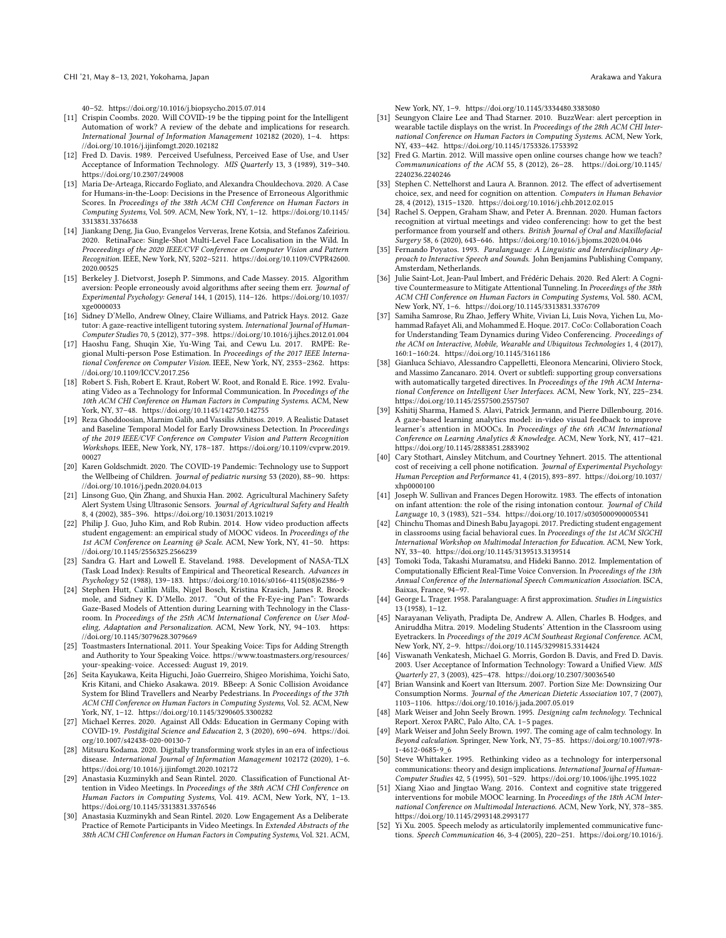40–52.<https://doi.org/10.1016/j.biopsycho.2015.07.014>

- <span id="page-13-4"></span>[11] Crispin Coombs. 2020. Will COVID-19 be the tipping point for the Intelligent Automation of work? A review of the debate and implications for research. International Journal of Information Management 102182 (2020), 1–4. [https:](https://doi.org/10.1016/j.ijinfomgt.2020.102182) [//doi.org/10.1016/j.ijinfomgt.2020.102182](https://doi.org/10.1016/j.ijinfomgt.2020.102182)
- <span id="page-13-32"></span>[12] Fred D. Davis. 1989. Perceived Usefulness, Perceived Ease of Use, and User Acceptance of Information Technology. MIS Quarterly 13, 3 (1989), 319–340. <https://doi.org/10.2307/249008>
- <span id="page-13-15"></span>[13] Maria De-Arteaga, Riccardo Fogliato, and Alexandra Chouldechova. 2020. A Case for Humans-in-the-Loop: Decisions in the Presence of Erroneous Algorithmic Scores. In Proceedings of the 38th ACM CHI Conference on Human Factors in Computing Systems, Vol. 509. ACM, New York, NY, 1–12. [https://doi.org/10.1145/](https://doi.org/10.1145/3313831.3376638) [3313831.3376638](https://doi.org/10.1145/3313831.3376638)
- <span id="page-13-34"></span>[14] Jiankang Deng, Jia Guo, Evangelos Ververas, Irene Kotsia, and Stefanos Zafeiriou. 2020. RetinaFace: Single-Shot Multi-Level Face Localisation in the Wild. In Proceeedings of the 2020 IEEE/CVF Conference on Computer Vision and Pattern Recognition. IEEE, New York, NY, 5202–5211. [https://doi.org/10.1109/CVPR42600.](https://doi.org/10.1109/CVPR42600.2020.00525) [2020.00525](https://doi.org/10.1109/CVPR42600.2020.00525)
- <span id="page-13-16"></span>[15] Berkeley J. Dietvorst, Joseph P. Simmons, and Cade Massey. 2015. Algorithm aversion: People erroneously avoid algorithms after seeing them err. Journal of Experimental Psychology: General 144, 1 (2015), 114–126. [https://doi.org/10.1037/](https://doi.org/10.1037/xge0000033) [xge0000033](https://doi.org/10.1037/xge0000033)
- <span id="page-13-17"></span>[16] Sidney D'Mello, Andrew Olney, Claire Williams, and Patrick Hays. 2012. Gaze tutor: A gaze-reactive intelligent tutoring system. International Journal of Human-Computer Studies 70, 5 (2012), 377–398.<https://doi.org/10.1016/j.ijhcs.2012.01.004>
- <span id="page-13-35"></span>[17] Haoshu Fang, Shuqin Xie, Yu-Wing Tai, and Cewu Lu. 2017. RMPE: Regional Multi-person Pose Estimation. In Proceedings of the 2017 IEEE International Conference on Computer Vision. IEEE, New York, NY, 2353–2362. [https:](https://doi.org/10.1109/ICCV.2017.256) [//doi.org/10.1109/ICCV.2017.256](https://doi.org/10.1109/ICCV.2017.256)
- <span id="page-13-0"></span>[18] Robert S. Fish, Robert E. Kraut, Robert W. Root, and Ronald E. Rice. 1992. Evaluating Video as a Technology for Informal Communication. In Procedings of the 10th ACM CHI Conference on Human Factors in Computing Systems. ACM, New York, NY, 37–48.<https://doi.org/10.1145/142750.142755>
- <span id="page-13-38"></span>[19] Reza Ghoddoosian, Marnim Galib, and Vassilis Athitsos. 2019. A Realistic Dataset and Baseline Temporal Model for Early Drowsiness Detection. In Proceedings of the 2019 IEEE/CVF Conference on Computer Vision and Pattern Recognition Workshops. IEEE, New York, NY, 178–187. [https://doi.org/10.1109/cvprw.2019.](https://doi.org/10.1109/cvprw.2019.00027) [00027](https://doi.org/10.1109/cvprw.2019.00027)
- <span id="page-13-6"></span>[20] Karen Goldschmidt. 2020. The COVID-19 Pandemic: Technology use to Support the Wellbeing of Children. Journal of pediatric nursing 53 (2020), 88-90. [https:](https://doi.org/10.1016/j.pedn.2020.04.013) [//doi.org/10.1016/j.pedn.2020.04.013](https://doi.org/10.1016/j.pedn.2020.04.013)
- <span id="page-13-23"></span>[21] Linsong Guo, Qin Zhang, and Shuxia Han. 2002. Agricultural Machinery Safety Alert System Using Ultrasonic Sensors. Journal of Agricultural Safety and Health 8, 4 (2002), 385–396.<https://doi.org/10.13031/2013.10219>
- <span id="page-13-2"></span>[22] Philip J. Guo, Juho Kim, and Rob Rubin. 2014. How video production affects student engagement: an empirical study of MOOC videos. In Proceedings of the 1st ACM Conference on Learning @ Scale. ACM, New York, NY, 41-50. [https:](https://doi.org/10.1145/2556325.2566239) [//doi.org/10.1145/2556325.2566239](https://doi.org/10.1145/2556325.2566239)
- <span id="page-13-31"></span>[23] Sandra G. Hart and Lowell E. Staveland. 1988. Development of NASA-TLX (Task Load Index): Results of Empirical and Theoretical Research. Advances in Psychology 52 (1988), 139–183. [https://doi.org/10.1016/s0166-4115\(08\)62386-9](https://doi.org/10.1016/s0166-4115(08)62386-9)
- <span id="page-13-19"></span>[24] Stephen Hutt, Caitlin Mills, Nigel Bosch, Kristina Krasich, James R. Brock-mole, and Sidney K. D'Mello. 2017. "Out of the Fr-Eye-ing Pan": Towards Gaze-Based Models of Attention during Learning with Technology in the Classroom. In Proceedings of the 25th ACM International Conference on User Modeling, Adaptation and Personalization. ACM, New York, NY, 94–103. [https:](https://doi.org/10.1145/3079628.3079669) [//doi.org/10.1145/3079628.3079669](https://doi.org/10.1145/3079628.3079669)
- <span id="page-13-29"></span>[25] Toastmasters International. 2011. Your Speaking Voice: Tips for Adding Strength and Authority to Your Speaking Voice. [https://www.toastmasters.org/resources/](https://www.toastmasters.org/resources/your-speaking-voice) [your-speaking-voice.](https://www.toastmasters.org/resources/your-speaking-voice) Accessed: August 19, 2019.
- <span id="page-13-24"></span>[26] Seita Kayukawa, Keita Higuchi, João Guerreiro, Shigeo Morishima, Yoichi Sato, Kris Kitani, and Chieko Asakawa. 2019. BBeep: A Sonic Collision Avoidance System for Blind Travellers and Nearby Pedestrians. In Proceedings of the 37th ACM CHI Conference on Human Factors in Computing Systems, Vol. 52. ACM, New York, NY, 1–12.<https://doi.org/10.1145/3290605.3300282>
- <span id="page-13-7"></span>[27] Michael Kerres. 2020. Against All Odds: Education in Germany Coping with COVID-19. Postdigital Science and Education 2, 3 (2020), 690–694. [https://doi.](https://doi.org/10.1007/s42438-020-00130-7) [org/10.1007/s42438-020-00130-7](https://doi.org/10.1007/s42438-020-00130-7)
- <span id="page-13-5"></span>[28] Mitsuru Kodama. 2020. Digitally transforming work styles in an era of infectious disease. International Journal of Information Management 102172 (2020), 1–6. <https://doi.org/10.1016/j.ijinfomgt.2020.102172>
- <span id="page-13-8"></span>[29] Anastasia Kuzminykh and Sean Rintel. 2020. Classification of Functional Attention in Video Meetings. In Proceedings of the 38th ACM CHI Conference on Human Factors in Computing Systems, Vol. 419. ACM, New York, NY, 1–13. <https://doi.org/10.1145/3313831.3376546>
- <span id="page-13-9"></span>[30] Anastasia Kuzminykh and Sean Rintel. 2020. Low Engagement As a Deliberate Practice of Remote Participants in Video Meetings. In Extended Abstracts of the 38th ACM CHI Conference on Human Factors in Computing Systems, Vol. 321. ACM,

New York, NY, 1–9.<https://doi.org/10.1145/3334480.3383080>

- <span id="page-13-25"></span>[31] Seungyon Claire Lee and Thad Starner. 2010. BuzzWear: alert perception in wearable tactile displays on the wrist. In Proceedings of the 28th ACM CHI International Conference on Human Factors in Computing Systems. ACM, New York, NY, 433–442.<https://doi.org/10.1145/1753326.1753392>
- <span id="page-13-3"></span>[32] Fred G. Martin. 2012. Will massive open online courses change how we teach? Commununications of the ACM 55, 8 (2012), 26–28. [https://doi.org/10.1145/](https://doi.org/10.1145/2240236.2240246) [2240236.2240246](https://doi.org/10.1145/2240236.2240246)
- <span id="page-13-21"></span>[33] Stephen C. Nettelhorst and Laura A. Brannon. 2012. The effect of advertisement choice, sex, and need for cognition on attention. Computers in Human Behavior 28, 4 (2012), 1315–1320.<https://doi.org/10.1016/j.chb.2012.02.015>
- <span id="page-13-10"></span>[34] Rachel S. Oeppen, Graham Shaw, and Peter A. Brennan. 2020. Human factors recognition at virtual meetings and video conferencing: how to get the best performance from yourself and others. British Journal of Oral and Maxillofacial Surgery 58, 6 (2020), 643–646.<https://doi.org/10.1016/j.bjoms.2020.04.046>
- <span id="page-13-28"></span>[35] Fernando Poyatos. 1993. Paralanguage: A Linguistic and Interdisciplinary Approach to Interactive Speech and Sounds. John Benjamins Publishing Company, Amsterdam, Netherlands.
- <span id="page-13-13"></span>[36] Julie Saint-Lot, Jean-Paul Imbert, and Frédéric Dehais. 2020. Red Alert: A Cognitive Countermeasure to Mitigate Attentional Tunneling. In Proceedings of the 38th ACM CHI Conference on Human Factors in Computing Systems, Vol. 580. ACM, New York, NY, 1–6.<https://doi.org/10.1145/3313831.3376709>
- <span id="page-13-36"></span>[37] Samiha Samrose, Ru Zhao, Jeffery White, Vivian Li, Luis Nova, Yichen Lu, Mohammad Rafayet Ali, and Mohammed E. Hoque. 2017. CoCo: Collaboration Coach for Understanding Team Dynamics during Video Conferencing. Proceedings of the ACM on Interactive, Mobile, Wearable and Ubiquitous Technologies 1, 4 (2017), 160:1–160:24.<https://doi.org/10.1145/3161186>
- <span id="page-13-37"></span>[38] Gianluca Schiavo, Alessandro Cappelletti, Eleonora Mencarini, Oliviero Stock, and Massimo Zancanaro. 2014. Overt or subtlefi: supporting group conversations with automatically targeted directives. In Proceedings of the 19th ACM International Conference on Intelligent User Interfaces. ACM, New York, NY, 225–234. <https://doi.org/10.1145/2557500.2557507>
- <span id="page-13-18"></span>[39] Kshitij Sharma, Hamed S. Alavi, Patrick Jermann, and Pierre Dillenbourg. 2016. A gaze-based learning analytics model: in-video visual feedback to improve learner's attention in MOOCs. In Proceedings of the 6th ACM International Conference on Learning Analytics & Knowledge. ACM, New York, NY, 417–421. <https://doi.org/10.1145/2883851.2883902>
- <span id="page-13-22"></span>[40] Cary Stothart, Ainsley Mitchum, and Courtney Yehnert. 2015. The attentional cost of receiving a cell phone notification. Journal of Experimental Psychology: Human Perception and Performance 41, 4 (2015), 893–897. [https://doi.org/10.1037/](https://doi.org/10.1037/xhp0000100) [xhp0000100](https://doi.org/10.1037/xhp0000100)
- <span id="page-13-30"></span>[41] Joseph W. Sullivan and Frances Degen Horowitz. 1983. The effects of intonation on infant attention: the role of the rising intonation contour. Journal of Child Language 10, 3 (1983), 521–534.<https://doi.org/10.1017/s0305000900005341>
- <span id="page-13-11"></span>[42] Chinchu Thomas and Dinesh Babu Jayagopi. 2017. Predicting student engagement in classrooms using facial behavioral cues. In Proceedings of the 1st ACM SIGCHI International Workshop on Multimodal Interaction for Education. ACM, New York, NY, 33–40.<https://doi.org/10.1145/3139513.3139514>
- <span id="page-13-41"></span>[43] Tomoki Toda, Takashi Muramatsu, and Hideki Banno. 2012. Implementation of Computationally Efficient Real-Time Voice Conversion. In Proceedings of the 13th Annual Conference of the International Speech Communication Association. ISCA, Baixas, France, 94–97.
- <span id="page-13-27"></span>[44] George L. Trager. 1958. Paralanguage: A first approximation. Studies in Linguistics 13 (1958), 1–12.
- <span id="page-13-20"></span>[45] Narayanan Veliyath, Pradipta De, Andrew A. Allen, Charles B. Hodges, and Aniruddha Mitra. 2019. Modeling Students' Attention in the Classroom using Eyetrackers. In Proceedings of the 2019 ACM Southeast Regional Conference. ACM, New York, NY, 2–9.<https://doi.org/10.1145/3299815.3314424>
- <span id="page-13-33"></span>[46] Viswanath Venkatesh, Michael G. Morris, Gordon B. Davis, and Fred D. Davis. 2003. User Acceptance of Information Technology: Toward a Unified View. MIS Quarterly 27, 3 (2003), 425–478.<https://doi.org/10.2307/30036540>
- <span id="page-13-26"></span>[47] Brian Wansink and Koert van Ittersum. 2007. Portion Size Me: Downsizing Our Consumption Norms. Journal of the American Dietetic Association 107, 7 (2007), 1103–1106.<https://doi.org/10.1016/j.jada.2007.05.019>
- <span id="page-13-39"></span>[48] Mark Weiser and John Seely Brown. 1995. Designing calm technology. Technical Report. Xerox PARC, Palo Alto, CA. 1–5 pages.
- <span id="page-13-40"></span>[49] Mark Weiser and John Seely Brown. 1997. The coming age of calm technology. In Beyond calculation. Springer, New York, NY, 75–85. [https://doi.org/10.1007/978-](https://doi.org/10.1007/978-1-4612-0685-9_6) [1-4612-0685-9\\_6](https://doi.org/10.1007/978-1-4612-0685-9_6)
- <span id="page-13-1"></span>[50] Steve Whittaker. 1995. Rethinking video as a technology for interpersonal communications: theory and design implications. International Journal of Human-Computer Studies 42, 5 (1995), 501–529.<https://doi.org/10.1006/ijhc.1995.1022>
- <span id="page-13-12"></span>[51] Xiang Xiao and Jingtao Wang. 2016. Context and cognitive state triggered interventions for mobile MOOC learning. In Proceedings of the 18th ACM International Conference on Multimodal Interaction6. ACM, New York, NY, 378–385. <https://doi.org/10.1145/2993148.2993177>
- <span id="page-13-14"></span>[52] Yi Xu. 2005. Speech melody as articulatorily implemented communicative functions. Speech Communication 46, 3-4 (2005), 220–251. [https://doi.org/10.1016/j.](https://doi.org/10.1016/j.specom.2005.02.014)